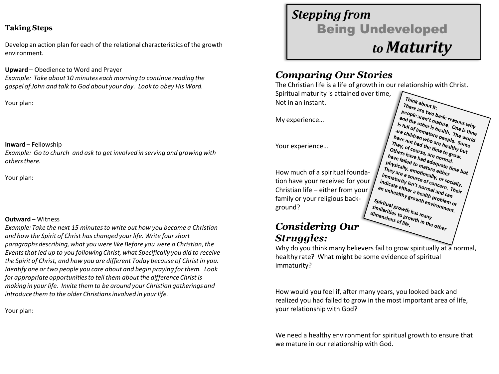#### **Taking Steps**

Develop an action plan for each of the relational characteristics of the growth environment.

**Upward** – Obedience to Word and Prayer

*Example: Take about 10 minutes each morning to continue reading the gospel of John and talk to God about your day. Look to obey His Word.*

Your plan:

#### **Inward** – Fellowship

*Example: Go to church and ask to get involved in serving and growing with others there.*

Your plan:

#### **Outward** – Witness

*Example: Take the next 15 minutes to write out how you became a Christian and how the Spirit of Christ has changed your life. Write four short paragraphs describing, what you were like Before you were a Christian, the Events that led up to you following Christ, what Specifically you did to receive the Spirit of Christ, and how you are different Today because of Christ in you. Identify one or two people you care about and begin praying for them. Look for appropriate opportunities to tell them about the difference Christ is making in your life. Invite them to be around your Christian gatherings and introduce them to the older Christians involved in your life.*

Your plan:

# *Stepping from*  Being Undeveloped *to Maturity*

### *Comparing Our Stories*

The Christian life is a life of growth in our relationship with Christ. Spiritual maturity is attained over time, Think about it: There are two basic reasons<br>and the other't mature.<br>and the other't mature.<br>s full of immer is health. One is the Not in an instant. 

*People aren't mature.*<br>*and the other is health, One is time*<br>*are children mature Dne is time*<br>are children who are people. Some<br>have not had sure are hosis. Some<br>have not had sure are hosis. Some and the other is mature asons why<br>is full of immature palth. The world<br>are children who are people. Some<br>have not had the depende. Some<br>They, of come the time a healthy but<br>they, of come the time althy but I is full of immature health, The write one is the<br>are children who are heaple. Some<br>They, of chad the time healthy burn<br>of the mother of the time healthy but<br>burns have is are no be stow. are children who are people. The width. The width of the son of had the time to grow by the filling of the son of the son of the son of the son of the son of the son of the son of the son of the son of the son of the son o They not had the one health)<br>Othey, of course, are no group<br>have falled to group and the strong<br>have falled to maximal internal. They, of chad the time healthy bome<br>others have had adequately but<br>have failed to mature eighty but<br>physically, email adequate time<br>in they are a source of ther<br>nmature eight of the but<br>nmature a source of the but Thers have had are normal.<br>
have failed to mature either<br>
Dhysically, emotion either tire<br>
They are a source either<br>
mmature a source ally, or They are that and adventural www.<br>They are a semotionally mature time but<br>immaturity isource of container international<br>immaturity isource of concern.<br>The either - normal - Their<br>I unter either - normal - Their Inlysically, to maturequate time but<br>immaturity isource of concern.<br>immaturity isource of concern. They<br>indicate either a health part of the line<br>in unhealthy preference and can I Iney are a source of either<br>indicate either is n't normally, or social<br>an unhealthy isn't normal and can<br>an unhealthy growth. Problem<br>... mmaturity a source of concern.<br>
indicate either a health professorially<br>
an unhealther a health problem<br>
piritual strowth environment<br>
milation of the environment<br>
milation of the environment I indicate either a hearth concern. The<br>an unhealther a health problem<br>Spiritual growth henvironment.<br>Spiritual growth henvironment.<br>Imianties to sum has man.

My experience…

Your experience…

How much of a spiritual foundation have your received for your Christian life – either from your family or your religious back-Spiritual growth envir<br>Similarities to growth envir<br>dimensions to growth in y<br>dimensions of youth in y sinitial growth has many<br>dimensions to growth many<br>dimensions of life. the other ground? dimensions of life.

### *Considering Our Struggles:*

Why do you think many believers fail to grow spiritually at a normal, healthy rate? What might be some evidence of spiritual immaturity?

How would you feel if, after many years, you looked back and realized you had failed to grow in the most important area of life, your relationship with God?

We need a healthy environment for spiritual growth to ensure that we mature in our relationship with God.